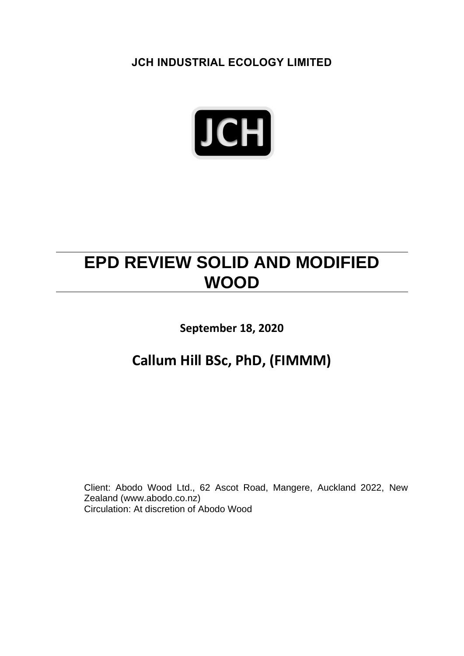**JCH INDUSTRIAL ECOLOGY LIMITED**



## **EPD REVIEW SOLID AND MODIFIED WOOD**

**September 18, 2020**

## **Callum Hill BSc, PhD, (FIMMM)**

Client: Abodo Wood Ltd., 62 Ascot Road, Mangere, Auckland 2022, New Zealand (www.abodo.co.nz) Circulation: At discretion of Abodo Wood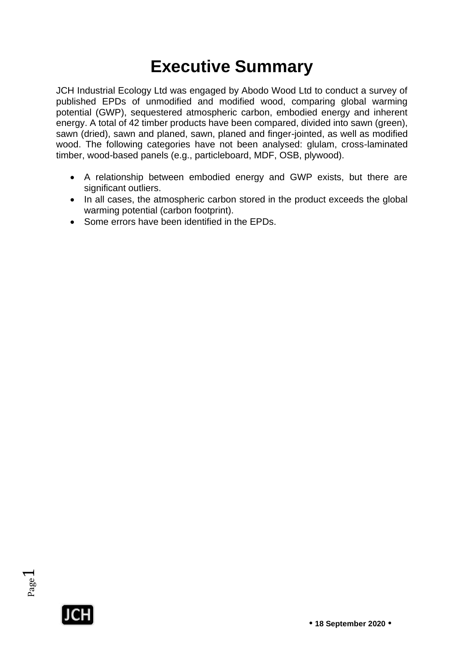# **Executive Summary**

JCH Industrial Ecology Ltd was engaged by Abodo Wood Ltd to conduct a survey of published EPDs of unmodified and modified wood, comparing global warming potential (GWP), sequestered atmospheric carbon, embodied energy and inherent energy. A total of 42 timber products have been compared, divided into sawn (green), sawn (dried), sawn and planed, sawn, planed and finger-jointed, as well as modified wood. The following categories have not been analysed: glulam, cross-laminated timber, wood-based panels (e.g., particleboard, MDF, OSB, plywood).

- A relationship between embodied energy and GWP exists, but there are significant outliers.
- In all cases, the atmospheric carbon stored in the product exceeds the global warming potential (carbon footprint).
- Some errors have been identified in the EPDs.



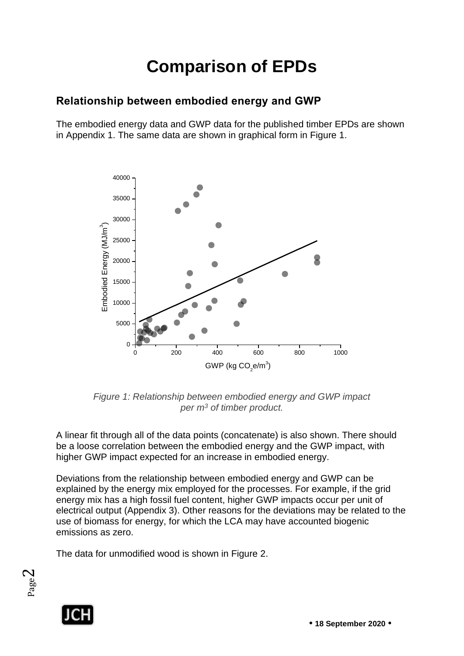# **Comparison of EPDs**

#### **Relationship between embodied energy and GWP**

The embodied energy data and GWP data for the published timber EPDs are shown in Appendix 1. The same data are shown in graphical form in Figure 1.



*Figure 1: Relationship between embodied energy and GWP impact per m<sup>3</sup> of timber product.*

A linear fit through all of the data points (concatenate) is also shown. There should be a loose correlation between the embodied energy and the GWP impact, with higher GWP impact expected for an increase in embodied energy.

Deviations from the relationship between embodied energy and GWP can be explained by the energy mix employed for the processes. For example, if the grid energy mix has a high fossil fuel content, higher GWP impacts occur per unit of electrical output (Appendix 3). Other reasons for the deviations may be related to the use of biomass for energy, for which the LCA may have accounted biogenic emissions as zero.

The data for unmodified wood is shown in Figure 2.



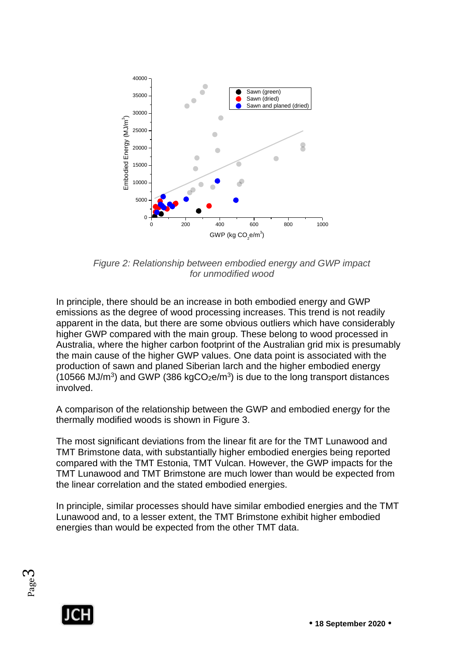

*Figure 2: Relationship between embodied energy and GWP impact for unmodified wood*

In principle, there should be an increase in both embodied energy and GWP emissions as the degree of wood processing increases. This trend is not readily apparent in the data, but there are some obvious outliers which have considerably higher GWP compared with the main group. These belong to wood processed in Australia, where the higher carbon footprint of the Australian grid mix is presumably the main cause of the higher GWP values. One data point is associated with the production of sawn and planed Siberian larch and the higher embodied energy  $(10566 \text{ MJ/m}^3)$  and GWP  $(386 \text{ kgCO}_2\text{e/m}^3)$  is due to the long transport distances involved.

A comparison of the relationship between the GWP and embodied energy for the thermally modified woods is shown in Figure 3.

The most significant deviations from the linear fit are for the TMT Lunawood and TMT Brimstone data, with substantially higher embodied energies being reported compared with the TMT Estonia, TMT Vulcan. However, the GWP impacts for the TMT Lunawood and TMT Brimstone are much lower than would be expected from the linear correlation and the stated embodied energies.

In principle, similar processes should have similar embodied energies and the TMT Lunawood and, to a lesser extent, the TMT Brimstone exhibit higher embodied energies than would be expected from the other TMT data.



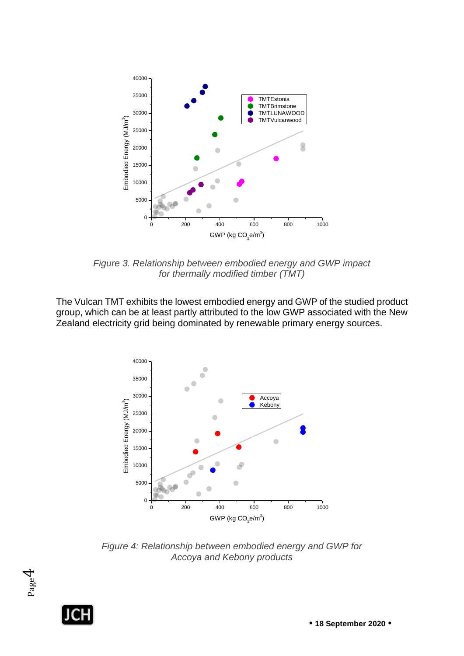

*Figure 3. Relationship between embodied energy and GWP impact for thermally modified timber (TMT)*

The Vulcan TMT exhibits the lowest embodied energy and GWP of the studied product group, which can be at least partly attributed to the low GWP associated with the New Zealand electricity grid being dominated by renewable primary energy sources.



*Figure 4: Relationship between embodied energy and GWP for Accoya and Kebony products*



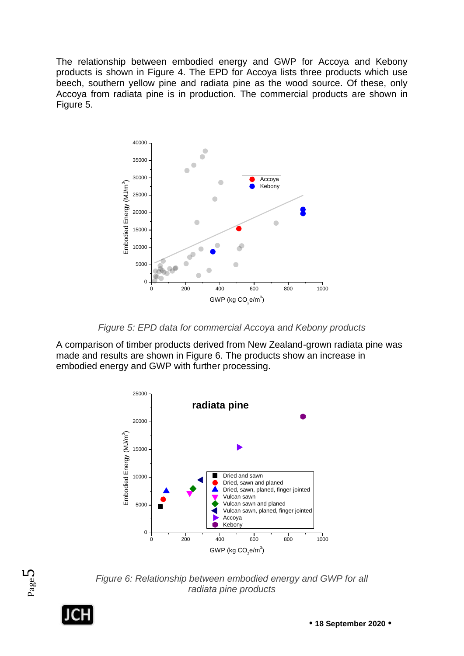The relationship between embodied energy and GWP for Accoya and Kebony products is shown in Figure 4. The EPD for Accoya lists three products which use beech, southern yellow pine and radiata pine as the wood source. Of these, only Accoya from radiata pine is in production. The commercial products are shown in Figure 5.



*Figure 5: EPD data for commercial Accoya and Kebony products*

A comparison of timber products derived from New Zealand-grown radiata pine was made and results are shown in Figure 6. The products show an increase in embodied energy and GWP with further processing.





*Figure 6: Relationship between embodied energy and GWP for all radiata pine products* 

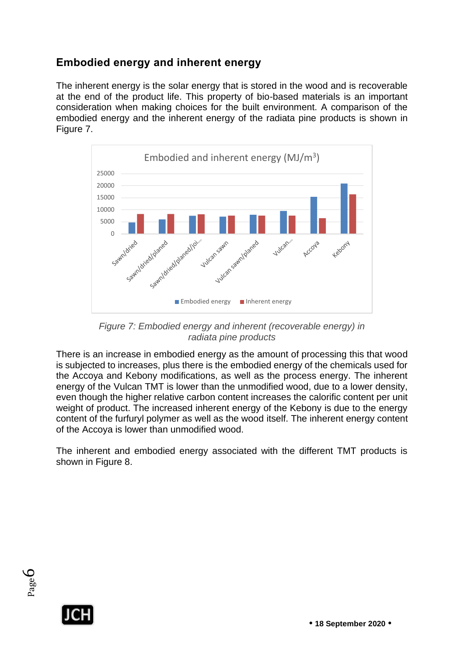#### **Embodied energy and inherent energy**

The inherent energy is the solar energy that is stored in the wood and is recoverable at the end of the product life. This property of bio-based materials is an important consideration when making choices for the built environment. A comparison of the embodied energy and the inherent energy of the radiata pine products is shown in Figure 7.



*Figure 7: Embodied energy and inherent (recoverable energy) in radiata pine products*

There is an increase in embodied energy as the amount of processing this that wood is subjected to increases, plus there is the embodied energy of the chemicals used for the Accoya and Kebony modifications, as well as the process energy. The inherent energy of the Vulcan TMT is lower than the unmodified wood, due to a lower density, even though the higher relative carbon content increases the calorific content per unit weight of product. The increased inherent energy of the Kebony is due to the energy content of the furfuryl polymer as well as the wood itself. The inherent energy content of the Accoya is lower than unmodified wood.

The inherent and embodied energy associated with the different TMT products is shown in Figure 8.



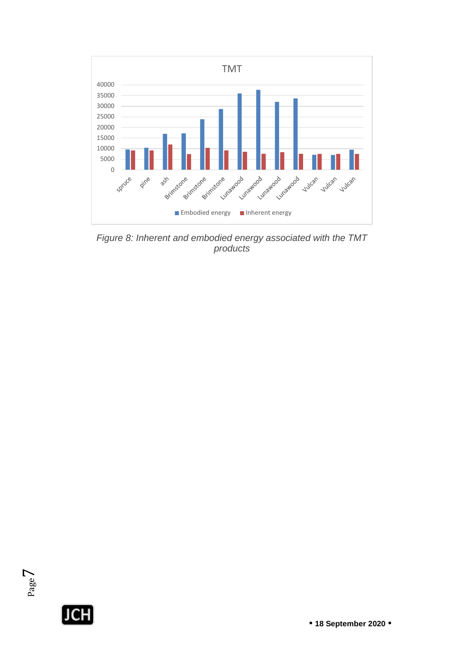

*Figure 8: Inherent and embodied energy associated with the TMT products*

 $\overline{\phantom{0}}$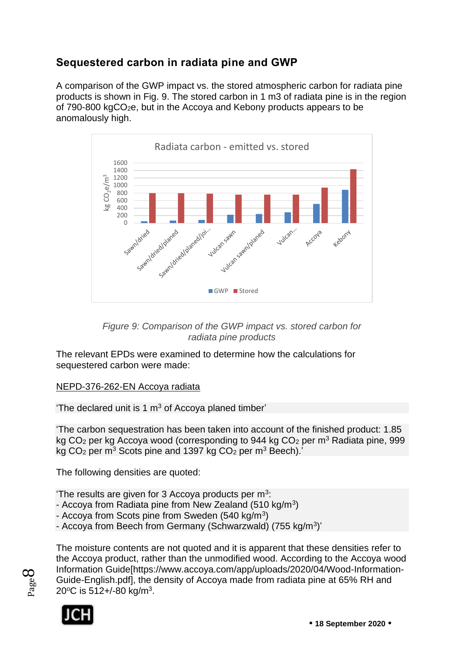### **Sequestered carbon in radiata pine and GWP**

A comparison of the GWP impact vs. the stored atmospheric carbon for radiata pine products is shown in Fig. 9. The stored carbon in 1 m3 of radiata pine is in the region of 790-800 kgCO2e, but in the Accoya and Kebony products appears to be anomalously high.



*Figure 9: Comparison of the GWP impact vs. stored carbon for radiata pine products*

The relevant EPDs were examined to determine how the calculations for sequestered carbon were made:

#### NEPD-376-262-EN Accoya radiata

'The declared unit is 1  $m<sup>3</sup>$  of Accoya planed timber'

'The carbon sequestration has been taken into account of the finished product: 1.85 kg CO<sub>2</sub> per kg Accoya wood (corresponding to 944 kg CO<sub>2</sub> per m<sup>3</sup> Radiata pine, 999 kg  $CO<sub>2</sub>$  per m<sup>3</sup> Scots pine and 1397 kg  $CO<sub>2</sub>$  per m<sup>3</sup> Beech).'

The following densities are quoted:

'The results are given for 3 Accoya products per  $m^3$ :

- Accoya from Radiata pine from New Zealand (510 kg/m<sup>3</sup>)

- Accoya from Scots pine from Sweden (540 kg/m<sup>3</sup>)
- Accoya from Beech from Germany (Schwarzwald) (755 kg/m<sup>3</sup>)'

Page  $\infty$ 

The moisture contents are not quoted and it is apparent that these densities refer to the Accoya product, rather than the unmodified wood. According to the Accoya wood Information Guide[https://www.accoya.com/app/uploads/2020/04/Wood-Information-Guide-English.pdf], the density of Accoya made from radiata pine at 65% RH and 20°C is 512+/-80 kg/m<sup>3</sup>.

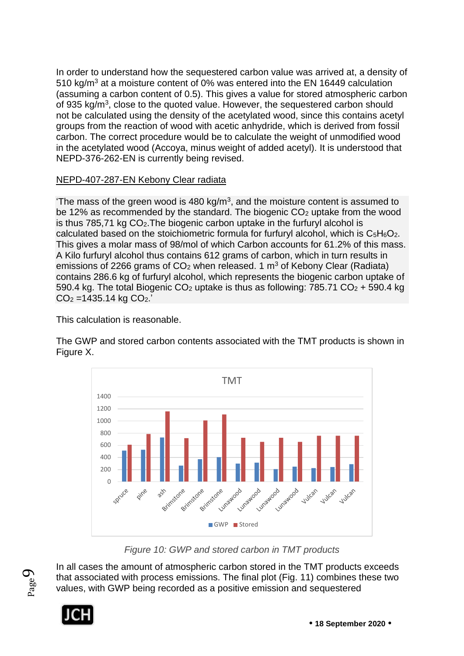In order to understand how the sequestered carbon value was arrived at, a density of 510 kg/m<sup>3</sup> at a moisture content of 0% was entered into the EN 16449 calculation (assuming a carbon content of 0.5). This gives a value for stored atmospheric carbon of 935 kg/m<sup>3</sup>, close to the quoted value. However, the sequestered carbon should not be calculated using the density of the acetylated wood, since this contains acetyl groups from the reaction of wood with acetic anhydride, which is derived from fossil carbon. The correct procedure would be to calculate the weight of unmodified wood in the acetylated wood (Accoya, minus weight of added acetyl). It is understood that NEPD-376-262-EN is currently being revised.

#### NEPD-407-287-EN Kebony Clear radiata

The mass of the green wood is 480 kg/m<sup>3</sup>, and the moisture content is assumed to be 12% as recommended by the standard. The biogenic  $CO<sub>2</sub>$  uptake from the wood is thus 785,71 kg CO2.The biogenic carbon uptake in the furfuryl alcohol is calculated based on the stoichiometric formula for furfuryl alcohol, which is  $C_5H_6O_2$ . This gives a molar mass of 98/mol of which Carbon accounts for 61.2% of this mass. A Kilo furfuryl alcohol thus contains 612 grams of carbon, which in turn results in emissions of 2266 grams of  $CO<sub>2</sub>$  when released. 1 m<sup>3</sup> of Kebony Clear (Radiata) contains 286.6 kg of furfuryl alcohol, which represents the biogenic carbon uptake of 590.4 kg. The total Biogenic  $CO<sub>2</sub>$  uptake is thus as following: 785.71  $CO<sub>2</sub>$  + 590.4 kg  $CO<sub>2</sub> = 1435.14$  kg  $CO<sub>2</sub>$ .

This calculation is reasonable.

The GWP and stored carbon contents associated with the TMT products is shown in Figure X.



*Figure 10: GWP and stored carbon in TMT products*

In all cases the amount of atmospheric carbon stored in the TMT products exceeds that associated with process emissions. The final plot (Fig. 11) combines these two values, with GWP being recorded as a positive emission and sequestered



Page  $\sigma$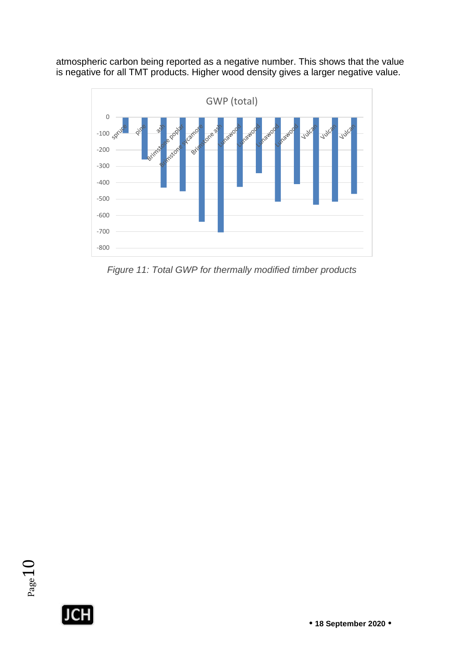atmospheric carbon being reported as a negative number. This shows that the value is negative for all TMT products. Higher wood density gives a larger negative value.



*Figure 11: Total GWP for thermally modified timber products*

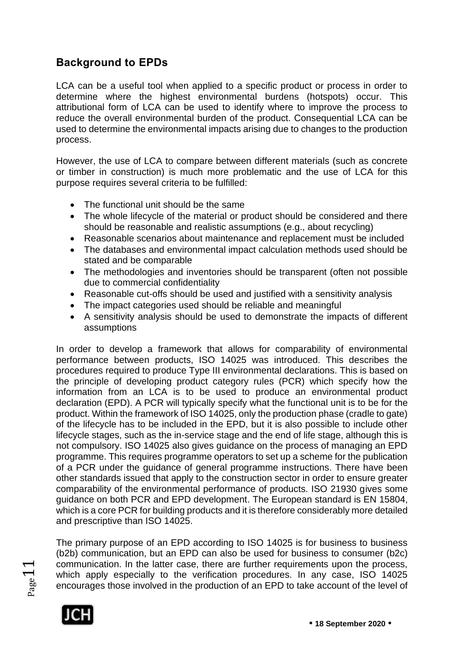### **Background to EPDs**

LCA can be a useful tool when applied to a specific product or process in order to determine where the highest environmental burdens (hotspots) occur. This attributional form of LCA can be used to identify where to improve the process to reduce the overall environmental burden of the product. Consequential LCA can be used to determine the environmental impacts arising due to changes to the production process.

However, the use of LCA to compare between different materials (such as concrete or timber in construction) is much more problematic and the use of LCA for this purpose requires several criteria to be fulfilled:

- The functional unit should be the same
- The whole lifecycle of the material or product should be considered and there should be reasonable and realistic assumptions (e.g., about recycling)
- Reasonable scenarios about maintenance and replacement must be included
- The databases and environmental impact calculation methods used should be stated and be comparable
- The methodologies and inventories should be transparent (often not possible due to commercial confidentiality
- Reasonable cut-offs should be used and justified with a sensitivity analysis
- The impact categories used should be reliable and meaningful
- A sensitivity analysis should be used to demonstrate the impacts of different assumptions

In order to develop a framework that allows for comparability of environmental performance between products, ISO 14025 was introduced. This describes the procedures required to produce Type III environmental declarations. This is based on the principle of developing product category rules (PCR) which specify how the information from an LCA is to be used to produce an environmental product declaration (EPD). A PCR will typically specify what the functional unit is to be for the product. Within the framework of ISO 14025, only the production phase (cradle to gate) of the lifecycle has to be included in the EPD, but it is also possible to include other lifecycle stages, such as the in-service stage and the end of life stage, although this is not compulsory. ISO 14025 also gives guidance on the process of managing an EPD programme. This requires programme operators to set up a scheme for the publication of a PCR under the guidance of general programme instructions. There have been other standards issued that apply to the construction sector in order to ensure greater comparability of the environmental performance of products. ISO 21930 gives some guidance on both PCR and EPD development. The European standard is EN 15804, which is a core PCR for building products and it is therefore considerably more detailed and prescriptive than ISO 14025.

The primary purpose of an EPD according to ISO 14025 is for business to business (b2b) communication, but an EPD can also be used for business to consumer (b2c) communication. In the latter case, there are further requirements upon the process, which apply especially to the verification procedures. In any case, ISO 14025 encourages those involved in the production of an EPD to take account of the level of



 $Page1$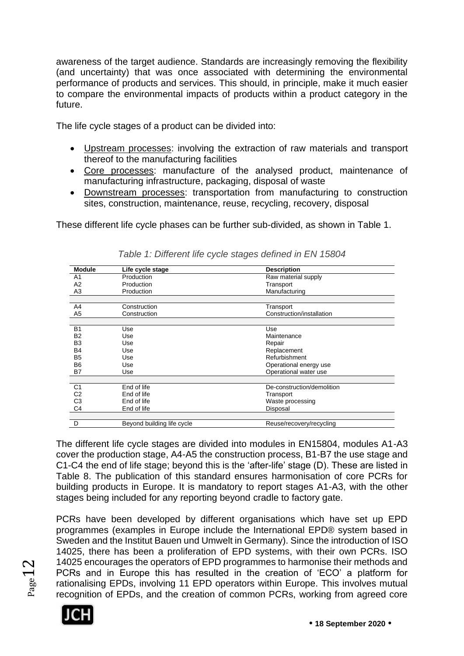awareness of the target audience. Standards are increasingly removing the flexibility (and uncertainty) that was once associated with determining the environmental performance of products and services. This should, in principle, make it much easier to compare the environmental impacts of products within a product category in the future.

The life cycle stages of a product can be divided into:

- Upstream processes: involving the extraction of raw materials and transport thereof to the manufacturing facilities
- Core processes: manufacture of the analysed product, maintenance of manufacturing infrastructure, packaging, disposal of waste
- Downstream processes: transportation from manufacturing to construction sites, construction, maintenance, reuse, recycling, recovery, disposal

These different life cycle phases can be further sub-divided, as shown in Table 1.

| <b>Module</b>  | Life cycle stage           | <b>Description</b>         |
|----------------|----------------------------|----------------------------|
| A <sub>1</sub> | Production                 | Raw material supply        |
| A2             | Production                 | Transport                  |
| A3             | Production                 | Manufacturing              |
|                |                            |                            |
| A4             | Construction               | Transport                  |
| A5             | Construction               | Construction/installation  |
|                |                            |                            |
| <b>B1</b>      | Use                        | Use                        |
| <b>B2</b>      | Use                        | Maintenance                |
| B <sub>3</sub> | Use                        | Repair                     |
| B4             | Use                        | Replacement                |
| B <sub>5</sub> | Use                        | Refurbishment              |
| <b>B6</b>      | Use                        | Operational energy use     |
| B7             | Use                        | Operational water use      |
|                |                            |                            |
| C <sub>1</sub> | End of life                | De-construction/demolition |
| C <sub>2</sub> | End of life                | Transport                  |
| C <sub>3</sub> | End of life                | Waste processing           |
| C <sub>4</sub> | End of life                | Disposal                   |
|                |                            |                            |
| D              | Beyond building life cycle | Reuse/recovery/recycling   |

*Table 1: Different life cycle stages defined in EN 15804*

The different life cycle stages are divided into modules in EN15804, modules A1-A3 cover the production stage, A4-A5 the construction process, B1-B7 the use stage and C1-C4 the end of life stage; beyond this is the 'after-life' stage (D). These are listed in Table 8. The publication of this standard ensures harmonisation of core PCRs for building products in Europe. It is mandatory to report stages A1-A3, with the other stages being included for any reporting beyond cradle to factory gate.

PCRs have been developed by different organisations which have set up EPD programmes (examples in Europe include the International EPD® system based in Sweden and the Institut Bauen und Umwelt in Germany). Since the introduction of ISO 14025, there has been a proliferation of EPD systems, with their own PCRs. ISO 14025 encourages the operators of EPD programmes to harmonise their methods and PCRs and in Europe this has resulted in the creation of 'ECO' a platform for rationalising EPDs, involving 11 EPD operators within Europe. This involves mutual recognition of EPDs, and the creation of common PCRs, working from agreed core



 $_{\rm Page}$ 12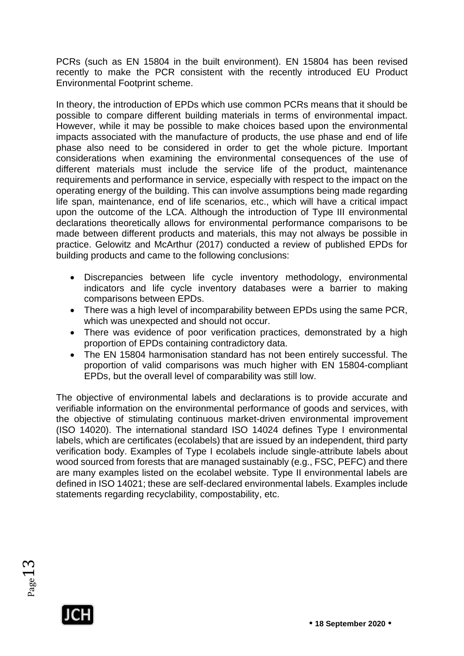PCRs (such as EN 15804 in the built environment). EN 15804 has been revised recently to make the PCR consistent with the recently introduced EU Product Environmental Footprint scheme.

In theory, the introduction of EPDs which use common PCRs means that it should be possible to compare different building materials in terms of environmental impact. However, while it may be possible to make choices based upon the environmental impacts associated with the manufacture of products, the use phase and end of life phase also need to be considered in order to get the whole picture. Important considerations when examining the environmental consequences of the use of different materials must include the service life of the product, maintenance requirements and performance in service, especially with respect to the impact on the operating energy of the building. This can involve assumptions being made regarding life span, maintenance, end of life scenarios, etc., which will have a critical impact upon the outcome of the LCA. Although the introduction of Type III environmental declarations theoretically allows for environmental performance comparisons to be made between different products and materials, this may not always be possible in practice. Gelowitz and McArthur (2017) conducted a review of published EPDs for building products and came to the following conclusions:

- Discrepancies between life cycle inventory methodology, environmental indicators and life cycle inventory databases were a barrier to making comparisons between EPDs.
- There was a high level of incomparability between EPDs using the same PCR, which was unexpected and should not occur.
- There was evidence of poor verification practices, demonstrated by a high proportion of EPDs containing contradictory data.
- The EN 15804 harmonisation standard has not been entirely successful. The proportion of valid comparisons was much higher with EN 15804-compliant EPDs, but the overall level of comparability was still low.

The objective of environmental labels and declarations is to provide accurate and verifiable information on the environmental performance of goods and services, with the objective of stimulating continuous market-driven environmental improvement (ISO 14020). The international standard ISO 14024 defines Type I environmental labels, which are certificates (ecolabels) that are issued by an independent, third party verification body. Examples of Type I ecolabels include single-attribute labels about wood sourced from forests that are managed sustainably (e.g., FSC, PEFC) and there are many examples listed on the ecolabel website. Type II environmental labels are defined in ISO 14021; these are self-declared environmental labels. Examples include statements regarding recyclability, compostability, etc.



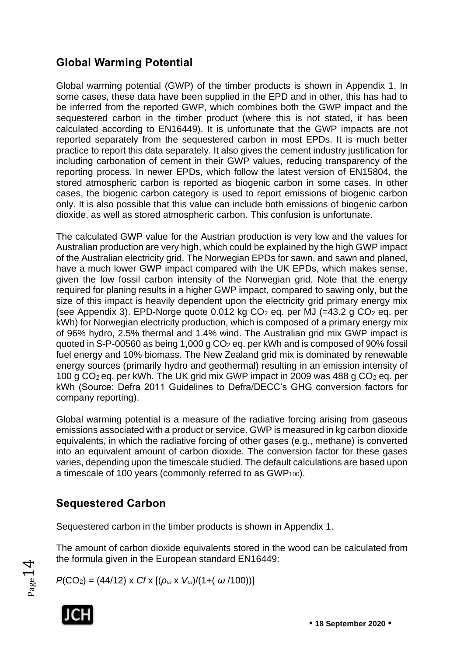### **Global Warming Potential**

Global warming potential (GWP) of the timber products is shown in Appendix 1. In some cases, these data have been supplied in the EPD and in other, this has had to be inferred from the reported GWP, which combines both the GWP impact and the sequestered carbon in the timber product (where this is not stated, it has been calculated according to EN16449). It is unfortunate that the GWP impacts are not reported separately from the sequestered carbon in most EPDs. It is much better practice to report this data separately. It also gives the cement industry justification for including carbonation of cement in their GWP values, reducing transparency of the reporting process. In newer EPDs, which follow the latest version of EN15804, the stored atmospheric carbon is reported as biogenic carbon in some cases. In other cases, the biogenic carbon category is used to report emissions of biogenic carbon only. It is also possible that this value can include both emissions of biogenic carbon dioxide, as well as stored atmospheric carbon. This confusion is unfortunate.

The calculated GWP value for the Austrian production is very low and the values for Australian production are very high, which could be explained by the high GWP impact of the Australian electricity grid. The Norwegian EPDs for sawn, and sawn and planed, have a much lower GWP impact compared with the UK EPDs, which makes sense, given the low fossil carbon intensity of the Norwegian grid. Note that the energy required for planing results in a higher GWP impact, compared to sawing only, but the size of this impact is heavily dependent upon the electricity grid primary energy mix (see Appendix 3). EPD-Norge quote 0.012 kg  $CO<sub>2</sub>$  eg. per MJ (=43.2 g  $CO<sub>2</sub>$  eg. per kWh) for Norwegian electricity production, which is composed of a primary energy mix of 96% hydro, 2.5% thermal and 1.4% wind. The Australian grid mix GWP impact is quoted in S-P-00560 as being 1,000 g CO<sup>2</sup> eq. per kWh and is composed of 90% fossil fuel energy and 10% biomass. The New Zealand grid mix is dominated by renewable energy sources (primarily hydro and geothermal) resulting in an emission intensity of 100 g CO2 eq. per kWh. The UK grid mix GWP impact in 2009 was 488 g CO<sup>2</sup> eq. per kWh (Source: Defra 2011 Guidelines to Defra/DECC's GHG conversion factors for company reporting).

Global warming potential is a measure of the radiative forcing arising from gaseous emissions associated with a product or service. GWP is measured in kg carbon dioxide equivalents, in which the radiative forcing of other gases (e.g., methane) is converted into an equivalent amount of carbon dioxide. The conversion factor for these gases varies, depending upon the timescale studied. The default calculations are based upon a timescale of 100 years (commonly referred to as GWP<sub>100</sub>).

### **Sequestered Carbon**

Sequestered carbon in the timber products is shown in Appendix 1.

The amount of carbon dioxide equivalents stored in the wood can be calculated from the formula given in the European standard EN16449:

*P*(CO2) = (44/12) x *Cf* x [(*ρ<sup>ω</sup>* x *Vω*)/(1+( *ω* /100))]



Page14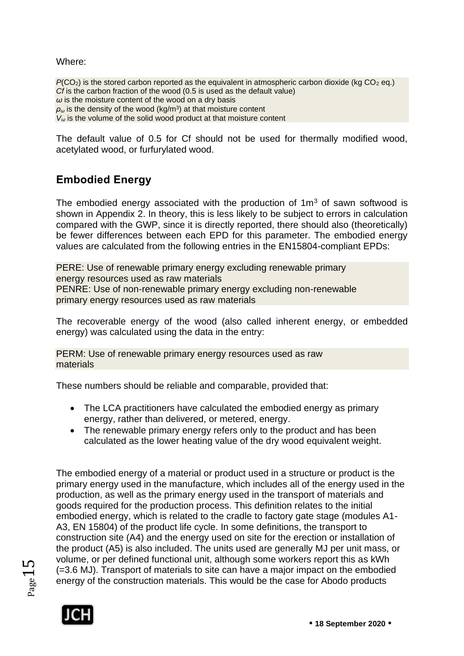Where:

 $P(CO<sub>2</sub>)$  is the stored carbon reported as the equivalent in atmospheric carbon dioxide (kg  $CO<sub>2</sub>$  eq.) *Cf* is the carbon fraction of the wood (0.5 is used as the default value) *ω* is the moisture content of the wood on a dry basis *ρ<sup>ω</sup>* is the density of the wood (kg/m<sup>3</sup> ) at that moisture content *V<sup>ω</sup>* is the volume of the solid wood product at that moisture content

The default value of 0.5 for Cf should not be used for thermally modified wood, acetylated wood, or furfurylated wood.

### **Embodied Energy**

The embodied energy associated with the production of  $1m<sup>3</sup>$  of sawn softwood is shown in Appendix 2. In theory, this is less likely to be subject to errors in calculation compared with the GWP, since it is directly reported, there should also (theoretically) be fewer differences between each EPD for this parameter. The embodied energy values are calculated from the following entries in the EN15804-compliant EPDs:

PERE: Use of renewable primary energy excluding renewable primary energy resources used as raw materials PENRE: Use of non-renewable primary energy excluding non-renewable primary energy resources used as raw materials

The recoverable energy of the wood (also called inherent energy, or embedded energy) was calculated using the data in the entry:

PERM: Use of renewable primary energy resources used as raw materials

These numbers should be reliable and comparable, provided that:

- The LCA practitioners have calculated the embodied energy as primary energy, rather than delivered, or metered, energy.
- The renewable primary energy refers only to the product and has been calculated as the lower heating value of the dry wood equivalent weight.

The embodied energy of a material or product used in a structure or product is the primary energy used in the manufacture, which includes all of the energy used in the production, as well as the primary energy used in the transport of materials and goods required for the production process. This definition relates to the initial embodied energy, which is related to the cradle to factory gate stage (modules A1- A3, EN 15804) of the product life cycle. In some definitions, the transport to construction site (A4) and the energy used on site for the erection or installation of the product (A5) is also included. The units used are generally MJ per unit mass, or volume, or per defined functional unit, although some workers report this as kWh (=3.6 MJ). Transport of materials to site can have a major impact on the embodied energy of the construction materials. This would be the case for Abodo products



 $_{\rm Page}$ 15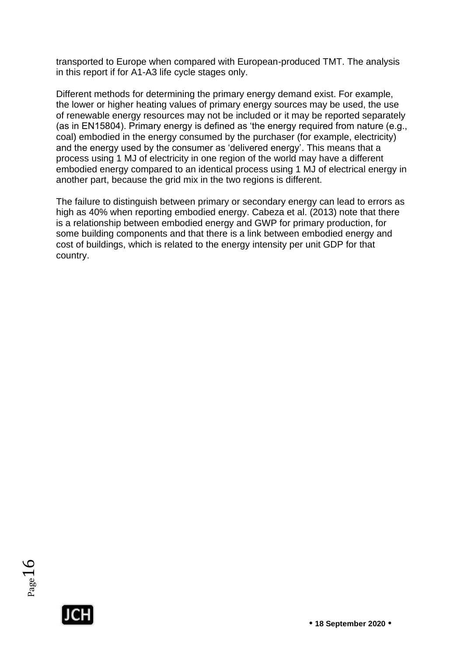transported to Europe when compared with European-produced TMT. The analysis in this report if for A1-A3 life cycle stages only.

Different methods for determining the primary energy demand exist. For example, the lower or higher heating values of primary energy sources may be used, the use of renewable energy resources may not be included or it may be reported separately (as in EN15804). Primary energy is defined as 'the energy required from nature (e.g., coal) embodied in the energy consumed by the purchaser (for example, electricity) and the energy used by the consumer as 'delivered energy'. This means that a process using 1 MJ of electricity in one region of the world may have a different embodied energy compared to an identical process using 1 MJ of electrical energy in another part, because the grid mix in the two regions is different.

The failure to distinguish between primary or secondary energy can lead to errors as high as 40% when reporting embodied energy. Cabeza et al. (2013) note that there is a relationship between embodied energy and GWP for primary production, for some building components and that there is a link between embodied energy and cost of buildings, which is related to the energy intensity per unit GDP for that country.



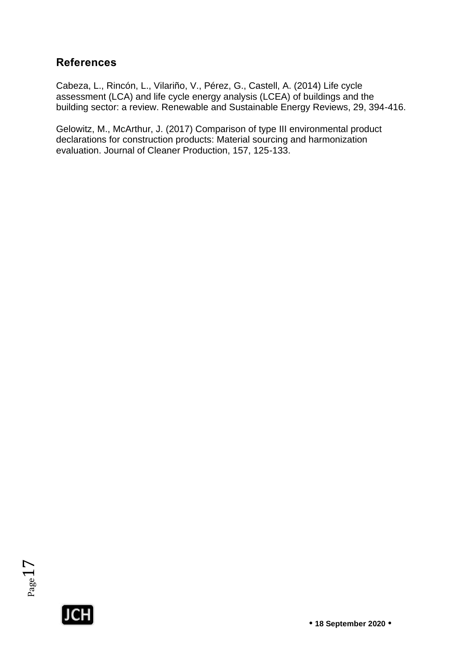#### **References**

Cabeza, L., Rincón, L., Vilariño, V., Pérez, G., Castell, A. (2014) Life cycle assessment (LCA) and life cycle energy analysis (LCEA) of buildings and the building sector: a review. Renewable and Sustainable Energy Reviews, 29, 394-416.

Gelowitz, M., McArthur, J. (2017) Comparison of type III environmental product declarations for construction products: Material sourcing and harmonization evaluation. Journal of Cleaner Production, 157, 125-133.



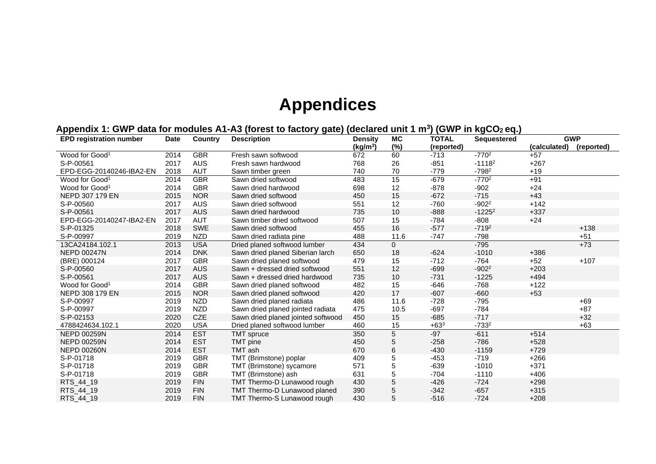## **Appendices**

#### **Appendix 1: GWP data for modules A1-A3 (forest to factory gate) (declared unit 1 m<sup>3</sup> ) (GWP in kgCO2 eq.)**

| <b>EPD registration number</b> | <b>Date</b> | <b>Country</b> | <b>Description</b><br><b>MC</b><br><b>TOTAL</b><br><b>Density</b> |                      | <b>Sequestered</b> | <b>GWP</b> |           |              |            |
|--------------------------------|-------------|----------------|-------------------------------------------------------------------|----------------------|--------------------|------------|-----------|--------------|------------|
|                                |             |                |                                                                   | (kg/m <sup>3</sup> ) | (%)                | (reported) |           | (calculated) | (reported) |
| Wood for Good <sup>1</sup>     | 2014        | <b>GBR</b>     | Fresh sawn softwood                                               | 672                  | 60                 | $-713$     | $-7702$   | $+57$        |            |
| S-P-00561                      | 2017        | <b>AUS</b>     | Fresh sawn hardwood                                               | 768                  | 26                 | $-851$     | $-11182$  | $+267$       |            |
| EPD-EGG-20140246-IBA2-EN       | 2018        | <b>AUT</b>     | Sawn timber green                                                 | 740                  | 70                 | $-779$     | $-798^2$  | $+19$        |            |
| Wood for Good <sup>1</sup>     | 2014        | <b>GBR</b>     | Sawn dried softwood                                               | 483                  | 15                 | $-679$     | $-7702$   | $+91$        |            |
| Wood for Good <sup>1</sup>     | 2014        | <b>GBR</b>     | Sawn dried hardwood                                               | 698                  | 12                 | $-878$     | $-902$    | $+24$        |            |
| NEPD 307 179 EN                | 2015        | <b>NOR</b>     | Sawn dried softwood                                               | 450                  | 15                 | $-672$     | $-715$    | $+43$        |            |
| S-P-00560                      | 2017        | <b>AUS</b>     | Sawn dried softwood                                               | 551                  | 12                 | $-760$     | $-902^2$  | $+142$       |            |
| S-P-00561                      | 2017        | <b>AUS</b>     | Sawn dried hardwood                                               | 735                  | 10                 | $-888$     | $-1225^2$ | $+337$       |            |
| EPD-EGG-20140247-IBA2-EN       | 2017        | <b>AUT</b>     | Sawn timber dried softwood                                        | 507                  | 15                 | $-784$     | $-808$    | $+24$        |            |
| S-P-01325                      | 2018        | <b>SWE</b>     | Sawn dried softwood                                               | 455                  | 16                 | $-577$     | $-719^2$  |              | $+138$     |
| S-P-00997                      | 2019        | <b>NZD</b>     | Sawn dried radiata pine                                           | 488                  | 11.6               | $-747$     | $-798$    |              | $+51$      |
| 13CA24184.102.1                | 2013        | <b>USA</b>     | Dried planed softwood lumber                                      | 434                  | $\Omega$           |            | $-795$    |              | $+73$      |
| <b>NEPD 00247N</b>             | 2014        | <b>DNK</b>     | Sawn dried planed Siberian larch                                  | 650                  | 18                 | $-624$     | $-1010$   | $+386$       |            |
| (BRE) 000124                   | 2017        | <b>GBR</b>     | Sawn dried planed softwood                                        | 479                  | 15                 | $-712$     | $-764$    | $+52$        | $+107$     |
| S-P-00560                      | 2017        | <b>AUS</b>     | Sawn + dressed dried softwood                                     | 551                  | 12                 | $-699$     | $-902^2$  | $+203$       |            |
| S-P-00561                      | 2017        | <b>AUS</b>     | Sawn + dressed dried hardwood                                     | 735                  | 10                 | $-731$     | $-1225$   | $+494$       |            |
| Wood for Good <sup>1</sup>     | 2014        | <b>GBR</b>     | Sawn dried planed softwood                                        | 482                  | 15                 | $-646$     | $-768$    | $+122$       |            |
| NEPD 308 179 EN                | 2015        | <b>NOR</b>     | Sawn dried planed softwood                                        | 420                  | 17                 | $-607$     | $-660$    | $+53$        |            |
| S-P-00997                      | 2019        | <b>NZD</b>     | Sawn dried planed radiata                                         | 486                  | 11.6               | $-728$     | $-795$    |              | $+69$      |
| S-P-00997                      | 2019        | <b>NZD</b>     | Sawn dried planed jointed radiata                                 | 475                  | 10.5               | $-697$     | $-784$    |              | $+87$      |
| S-P-02153                      | 2020        | <b>CZE</b>     | Sawn dried planed jointed softwood                                | 450                  | 15                 | $-685$     | $-717$    |              | $+32$      |
| 4788424634.102.1               | 2020        | <b>USA</b>     | Dried planed softwood lumber                                      | 460                  | 15                 | $+63^3$    | $-733^2$  |              | $+63$      |
| <b>NEPD 00259N</b>             | 2014        | <b>EST</b>     | <b>TMT</b> spruce                                                 | 350                  | 5                  | $-97$      | $-611$    | $+514$       |            |
| <b>NEPD 00259N</b>             | 2014        | <b>EST</b>     | <b>TMT</b> pine                                                   | 450                  | 5                  | $-258$     | $-786$    | $+528$       |            |
| <b>NEPD 00260N</b>             | 2014        | <b>EST</b>     | <b>TMT</b> ash                                                    | 670                  | 6                  | $-430$     | $-1159$   | $+729$       |            |
| S-P-01718                      | 2019        | <b>GBR</b>     | TMT (Brimstone) poplar                                            | 409                  | 5                  | $-453$     | $-719$    | $+266$       |            |
| S-P-01718                      | 2019        | <b>GBR</b>     | TMT (Brimstone) sycamore                                          | 571                  | 5                  | $-639$     | $-1010$   | $+371$       |            |
| S-P-01718                      | 2019        | <b>GBR</b>     | TMT (Brimstone) ash                                               | 631                  | 5                  | $-704$     | $-1110$   | $+406$       |            |
| RTS_44_19                      | 2019        | <b>FIN</b>     | TMT Thermo-D Lunawood rough                                       | 430                  | 5                  | $-426$     | $-724$    | $+298$       |            |
| RTS_44_19                      | 2019        | <b>FIN</b>     | TMT Thermo-D Lunawood planed                                      | 390                  | 5                  | $-342$     | $-657$    | $+315$       |            |
| RTS_44_19                      | 2019        | <b>FIN</b>     | <b>TMT Thermo-S Lunawood rough</b>                                | 430                  | 5                  | $-516$     | $-724$    | $+208$       |            |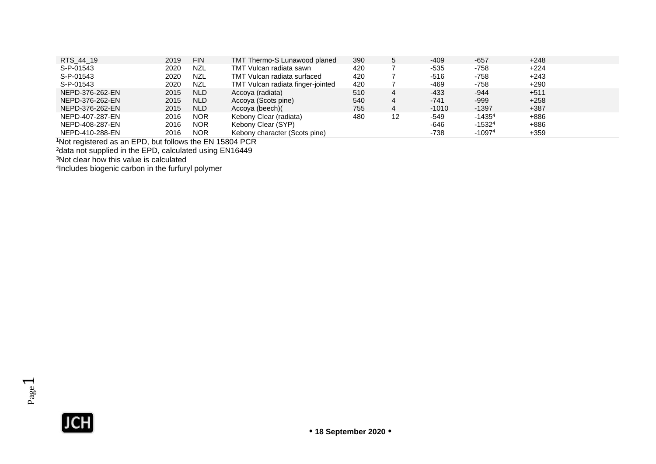| RTS 44 19       | 2019 | <b>FIN</b> | TMT Thermo-S Lunawood planed      | 390 | 5  | $-409$  | $-657$   | $+248$ |
|-----------------|------|------------|-----------------------------------|-----|----|---------|----------|--------|
| S-P-01543       | 2020 | <b>NZL</b> | TMT Vulcan radiata sawn           | 420 |    | $-535$  | -758     | $+224$ |
| S-P-01543       | 2020 | <b>NZL</b> | TMT Vulcan radiata surfaced       | 420 |    | -516    | -758     | +243   |
| S-P-01543       | 2020 | <b>NZL</b> | TMT Vulcan radiata finger-jointed | 420 |    | -469    | -758     | $+290$ |
| NEPD-376-262-EN | 2015 | <b>NLD</b> | Accoya (radiata)                  | 510 | 4  | $-433$  | -944     | $+511$ |
| NEPD-376-262-EN | 2015 | <b>NLD</b> | Accova (Scots pine)               | 540 | 4  | $-741$  | $-999$   | $+258$ |
| NEPD-376-262-EN | 2015 | <b>NLD</b> | Accoya (beech)                    | 755 | 4  | $-1010$ | $-1397$  | $+387$ |
| NEPD-407-287-EN | 2016 | <b>NOR</b> | Kebony Clear (radiata)            | 480 | 12 | -549    | $-14354$ | +886   |
| NEPD-408-287-EN | 2016 | <b>NOR</b> | Kebony Clear (SYP)                |     |    | -646    | $-15324$ | +886   |
| NEPD-410-288-EN | 2016 | <b>NOR</b> | Kebony character (Scots pine)     |     |    | $-738$  | $-10974$ | $+359$ |

1Not registered as an EPD, but follows the EN 15804 PCR

<sup>2</sup>data not supplied in the EPD, calculated using EN16449

<sup>3</sup>Not clear how this value is calculated

4 Includes biogenic carbon in the furfuryl polymer

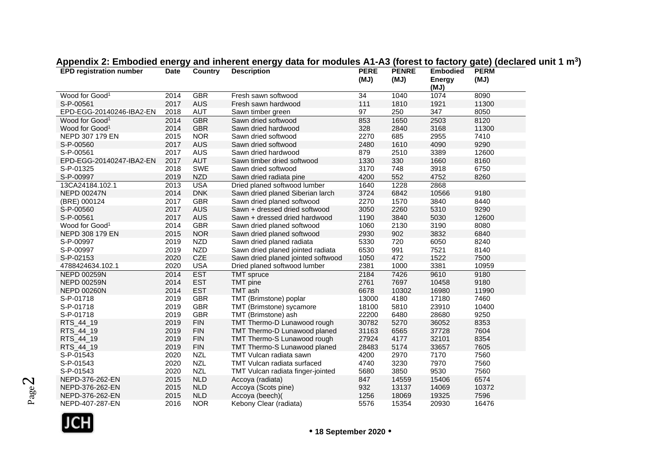| <b>EPD registration number</b> | <b>Date</b> | Country    | <b>Description</b>                 | <b>PERE</b><br>(MJ) | <b>PENRE</b><br>(MJ) | <b>Embodied</b><br><b>Energy</b> | <b>PERM</b><br>(MJ) |
|--------------------------------|-------------|------------|------------------------------------|---------------------|----------------------|----------------------------------|---------------------|
|                                |             |            |                                    |                     |                      | (MJ)                             |                     |
| Wood for Good <sup>1</sup>     | 2014        | <b>GBR</b> | Fresh sawn softwood                | 34                  | 1040                 | 1074                             | 8090                |
| S-P-00561                      | 2017        | <b>AUS</b> | Fresh sawn hardwood                | 111                 | 1810                 | 1921                             | 11300               |
| EPD-EGG-20140246-IBA2-EN       | 2018        | AUT        | Sawn timber green                  | 97                  | 250                  | 347                              | 8050                |
| Wood for Good <sup>1</sup>     | 2014        | <b>GBR</b> | Sawn dried softwood                | 853                 | 1650                 | 2503                             | 8120                |
| Wood for Good <sup>1</sup>     | 2014        | <b>GBR</b> | Sawn dried hardwood                | 328                 | 2840                 | 3168                             | 11300               |
| NEPD 307 179 EN                | 2015        | <b>NOR</b> | Sawn dried softwood                | 2270                | 685                  | 2955                             | 7410                |
| S-P-00560                      | 2017        | <b>AUS</b> | Sawn dried softwood                | 2480                | 1610                 | 4090                             | 9290                |
| S-P-00561                      | 2017        | <b>AUS</b> | Sawn dried hardwood                | 879                 | 2510                 | 3389                             | 12600               |
| EPD-EGG-20140247-IBA2-EN       | 2017        | <b>AUT</b> | Sawn timber dried softwood         | 1330                | 330                  | 1660                             | 8160                |
| S-P-01325                      | 2018        | <b>SWE</b> | Sawn dried softwood                | 3170                | 748                  | 3918                             | 6750                |
| S-P-00997                      | 2019        | <b>NZD</b> | Sawn dried radiata pine            | 4200                | 552                  | 4752                             | 8260                |
| 13CA24184.102.1                | 2013        | <b>USA</b> | Dried planed softwood lumber       | 1640                | 1228                 | 2868                             |                     |
| <b>NEPD 00247N</b>             | 2014        | <b>DNK</b> | Sawn dried planed Siberian larch   | 3724                | 6842                 | 10566                            | 9180                |
| (BRE) 000124                   | 2017        | <b>GBR</b> | Sawn dried planed softwood         | 2270                | 1570                 | 3840                             | 8440                |
| S-P-00560                      | 2017        | <b>AUS</b> | Sawn + dressed dried softwood      | 3050                | 2260                 | 5310                             | 9290                |
| S-P-00561                      | 2017        | <b>AUS</b> | Sawn + dressed dried hardwood      | 1190                | 3840                 | 5030                             | 12600               |
| Wood for Good <sup>1</sup>     | 2014        | <b>GBR</b> | Sawn dried planed softwood         | 1060                | 2130                 | 3190                             | 8080                |
| NEPD 308 179 EN                | 2015        | <b>NOR</b> | Sawn dried planed softwood         | 2930                | 902                  | 3832                             | 6840                |
| S-P-00997                      | 2019        | <b>NZD</b> | Sawn dried planed radiata          | 5330                | 720                  | 6050                             | 8240                |
| S-P-00997                      | 2019        | <b>NZD</b> | Sawn dried planed jointed radiata  | 6530                | 991                  | 7521                             | 8140                |
| S-P-02153                      | 2020        | CZE        | Sawn dried planed jointed softwood | 1050                | 472                  | 1522                             | 7500                |
| 4788424634.102.1               | 2020        | <b>USA</b> | Dried planed softwood lumber       | 2381                | 1000                 | 3381                             | 10959               |
| <b>NEPD 00259N</b>             | 2014        | <b>EST</b> | <b>TMT</b> spruce                  | 2184                | 7426                 | 9610                             | 9180                |
| <b>NEPD 00259N</b>             | 2014        | <b>EST</b> | <b>TMT</b> pine                    | 2761                | 7697                 | 10458                            | 9180                |
| <b>NEPD 00260N</b>             | 2014        | <b>EST</b> | TMT ash                            | 6678                | 10302                | 16980                            | 11990               |
| S-P-01718                      | 2019        | <b>GBR</b> | TMT (Brimstone) poplar             | 13000               | 4180                 | 17180                            | 7460                |
| S-P-01718                      | 2019        | <b>GBR</b> | TMT (Brimstone) sycamore           | 18100               | 5810                 | 23910                            | 10400               |
| S-P-01718                      | 2019        | <b>GBR</b> | TMT (Brimstone) ash                | 22200               | 6480                 | 28680                            | 9250                |
| RTS_44_19                      | 2019        | <b>FIN</b> | TMT Thermo-D Lunawood rough        | 30782               | 5270                 | 36052                            | 8353                |
| RTS_44_19                      | 2019        | <b>FIN</b> | TMT Thermo-D Lunawood planed       | 31163               | 6565                 | 37728                            | 7604                |
| RTS_44_19                      | 2019        | <b>FIN</b> | TMT Thermo-S Lunawood rough        | 27924               | 4177                 | 32101                            | 8354                |
| RTS_44_19                      | 2019        | <b>FIN</b> | TMT Thermo-S Lunawood planed       | 28483               | 5174                 | 33657                            | 7605                |
| S-P-01543                      | 2020        | <b>NZL</b> | TMT Vulcan radiata sawn            | 4200                | 2970                 | 7170                             | 7560                |
| S-P-01543                      | 2020        | <b>NZL</b> | <b>TMT Vulcan radiata surfaced</b> | 4740                | 3230                 | 7970                             | 7560                |
| S-P-01543                      | 2020        | <b>NZL</b> | TMT Vulcan radiata finger-jointed  | 5680                | 3850                 | 9530                             | 7560                |
| NEPD-376-262-EN                | 2015        | <b>NLD</b> | Accoya (radiata)                   | 847                 | 14559                | 15406                            | 6574                |
| NEPD-376-262-EN                | 2015        | <b>NLD</b> | Accoya (Scots pine)                | 932                 | 13137                | 14069                            | 10372               |
| NEPD-376-262-EN                | 2015        | <b>NLD</b> | Accoya (beech)(                    | 1256                | 18069                | 19325                            | 7596                |
| NEPD-407-287-EN                | 2016        | <b>NOR</b> | Kebony Clear (radiata)             | 5576                | 15354                | 20930                            | 16476               |

#### **Appendix 2: Embodied energy and inherent energy data for modules A1-A3 (forest to factory gate) (declared unit 1 m<sup>3</sup> )**



Page  $\boldsymbol{\sim}$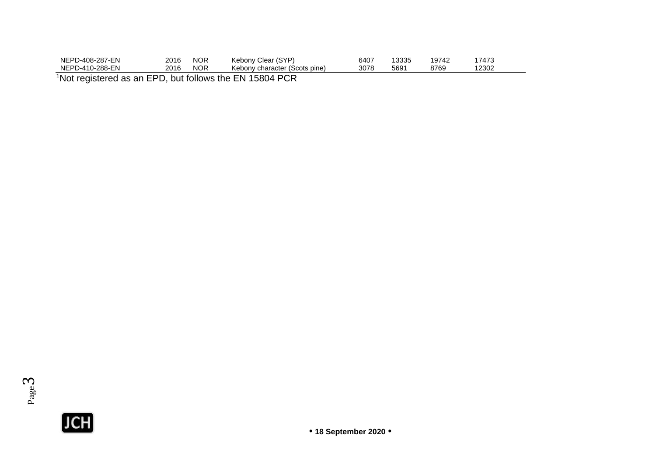| NEPD-408-287-EN | 2016   | NOR        | Kebony Clear (SYP)            | 6407 | 13335 | 19742 | 7473 |  |
|-----------------|--------|------------|-------------------------------|------|-------|-------|------|--|
| NEPD-410-288-EN | 2016   | <b>NOR</b> | Kebony character (Scots pine) | 3078 | 5691  | 8769  | 2302 |  |
| 1 N.H           | $-$ nn |            |                               |      |       |       |      |  |

<sup>1</sup>Not registered as an EPD, but follows the EN 15804 PCR